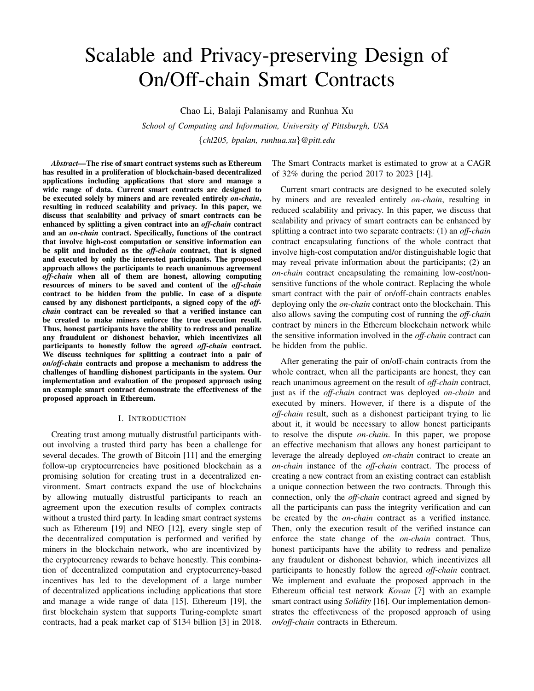# Scalable and Privacy-preserving Design of On/Off-chain Smart Contracts

Chao Li, Balaji Palanisamy and Runhua Xu

*School of Computing and Information, University of Pittsburgh, USA* {*chl205, bpalan, runhua.xu*}*@pitt.edu*

*Abstract*—The rise of smart contract systems such as Ethereum has resulted in a proliferation of blockchain-based decentralized applications including applications that store and manage a wide range of data. Current smart contracts are designed to be executed solely by miners and are revealed entirely *on-chain*, resulting in reduced scalability and privacy. In this paper, we discuss that scalability and privacy of smart contracts can be enhanced by splitting a given contract into an *off-chain* contract and an *on-chain* contract. Specifically, functions of the contract that involve high-cost computation or sensitive information can be split and included as the *off-chain* contract, that is signed and executed by only the interested participants. The proposed approach allows the participants to reach unanimous agreement *off-chain* when all of them are honest, allowing computing resources of miners to be saved and content of the *off-chain* contract to be hidden from the public. In case of a dispute caused by any dishonest participants, a signed copy of the *offchain* contract can be revealed so that a verified instance can be created to make miners enforce the true execution result. Thus, honest participants have the ability to redress and penalize any fraudulent or dishonest behavior, which incentivizes all participants to honestly follow the agreed *off-chain* contract. We discuss techniques for splitting a contract into a pair of *on/off-chain* contracts and propose a mechanism to address the challenges of handling dishonest participants in the system. Our implementation and evaluation of the proposed approach using an example smart contract demonstrate the effectiveness of the proposed approach in Ethereum.

#### I. INTRODUCTION

Creating trust among mutually distrustful participants without involving a trusted third party has been a challenge for several decades. The growth of Bitcoin [11] and the emerging follow-up cryptocurrencies have positioned blockchain as a promising solution for creating trust in a decentralized environment. Smart contracts expand the use of blockchains by allowing mutually distrustful participants to reach an agreement upon the execution results of complex contracts without a trusted third party. In leading smart contract systems such as Ethereum [19] and NEO [12], every single step of the decentralized computation is performed and verified by miners in the blockchain network, who are incentivized by the cryptocurrency rewards to behave honestly. This combination of decentralized computation and cryptocurrency-based incentives has led to the development of a large number of decentralized applications including applications that store and manage a wide range of data [15]. Ethereum [19], the first blockchain system that supports Turing-complete smart contracts, had a peak market cap of \$134 billion [3] in 2018. The Smart Contracts market is estimated to grow at a CAGR of 32% during the period 2017 to 2023 [14].

Current smart contracts are designed to be executed solely by miners and are revealed entirely *on-chain*, resulting in reduced scalability and privacy. In this paper, we discuss that scalability and privacy of smart contracts can be enhanced by splitting a contract into two separate contracts: (1) an *off-chain* contract encapsulating functions of the whole contract that involve high-cost computation and/or distinguishable logic that may reveal private information about the participants; (2) an *on-chain* contract encapsulating the remaining low-cost/nonsensitive functions of the whole contract. Replacing the whole smart contract with the pair of on/off-chain contracts enables deploying only the *on-chain* contract onto the blockchain. This also allows saving the computing cost of running the *off-chain* contract by miners in the Ethereum blockchain network while the sensitive information involved in the *off-chain* contract can be hidden from the public.

After generating the pair of on/off-chain contracts from the whole contract, when all the participants are honest, they can reach unanimous agreement on the result of *off-chain* contract, just as if the *off-chain* contract was deployed *on-chain* and executed by miners. However, if there is a dispute of the *off-chain* result, such as a dishonest participant trying to lie about it, it would be necessary to allow honest participants to resolve the dispute *on-chain*. In this paper, we propose an effective mechanism that allows any honest participant to leverage the already deployed *on-chain* contract to create an *on-chain* instance of the *off-chain* contract. The process of creating a new contract from an existing contract can establish a unique connection between the two contracts. Through this connection, only the *off-chain* contract agreed and signed by all the participants can pass the integrity verification and can be created by the *on-chain* contract as a verified instance. Then, only the execution result of the verified instance can enforce the state change of the *on-chain* contract. Thus, honest participants have the ability to redress and penalize any fraudulent or dishonest behavior, which incentivizes all participants to honestly follow the agreed *off-chain* contract. We implement and evaluate the proposed approach in the Ethereum official test network *Kovan* [7] with an example smart contract using *Solidity* [16]. Our implementation demonstrates the effectiveness of the proposed approach of using *on/off-chain* contracts in Ethereum.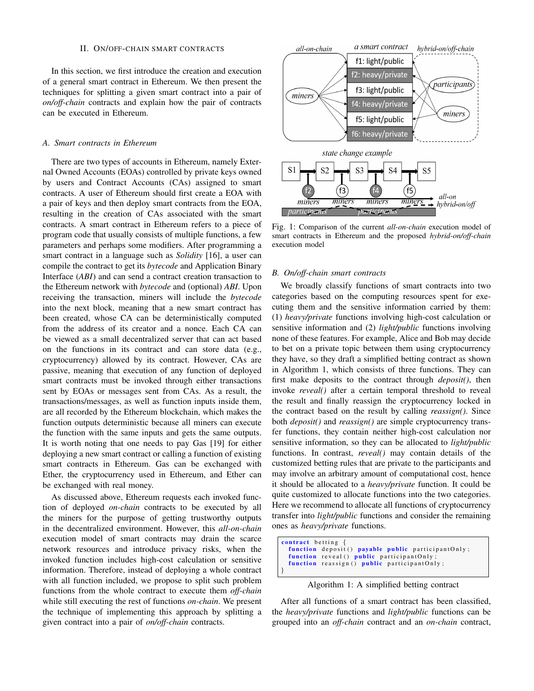# II. ON/OFF-CHAIN SMART CONTRACTS

In this section, we first introduce the creation and execution of a general smart contract in Ethereum. We then present the techniques for splitting a given smart contract into a pair of *on/off-chain* contracts and explain how the pair of contracts can be executed in Ethereum.

## *A. Smart contracts in Ethereum*

There are two types of accounts in Ethereum, namely External Owned Accounts (EOAs) controlled by private keys owned by users and Contract Accounts (CAs) assigned to smart contracts. A user of Ethereum should first create a EOA with a pair of keys and then deploy smart contracts from the EOA, resulting in the creation of CAs associated with the smart contracts. A smart contract in Ethereum refers to a piece of program code that usually consists of multiple functions, a few parameters and perhaps some modifiers. After programming a smart contract in a language such as *Solidity* [16], a user can compile the contract to get its *bytecode* and Application Binary Interface (*ABI*) and can send a contract creation transaction to the Ethereum network with *bytecode* and (optional) *ABI*. Upon receiving the transaction, miners will include the *bytecode* into the next block, meaning that a new smart contract has been created, whose CA can be deterministically computed from the address of its creator and a nonce. Each CA can be viewed as a small decentralized server that can act based on the functions in its contract and can store data (e.g., cryptocurrency) allowed by its contract. However, CAs are passive, meaning that execution of any function of deployed smart contracts must be invoked through either transactions sent by EOAs or messages sent from CAs. As a result, the transactions/messages, as well as function inputs inside them, are all recorded by the Ethereum blockchain, which makes the function outputs deterministic because all miners can execute the function with the same inputs and gets the same outputs. It is worth noting that one needs to pay Gas [19] for either deploying a new smart contract or calling a function of existing smart contracts in Ethereum. Gas can be exchanged with Ether, the cryptocurrency used in Ethereum, and Ether can be exchanged with real money.

As discussed above, Ethereum requests each invoked function of deployed *on-chain* contracts to be executed by all the miners for the purpose of getting trustworthy outputs in the decentralized environment. However, this *all-on-chain* execution model of smart contracts may drain the scarce network resources and introduce privacy risks, when the invoked function includes high-cost calculation or sensitive information. Therefore, instead of deploying a whole contract with all function included, we propose to split such problem functions from the whole contract to execute them *off-chain* while still executing the rest of functions *on-chain*. We present the technique of implementing this approach by splitting a given contract into a pair of *on/off-chain* contracts.



Fig. 1: Comparison of the current *all-on-chain* execution model of smart contracts in Ethereum and the proposed *hybrid-on/off-chain* execution model

## *B. On/off-chain smart contracts*

We broadly classify functions of smart contracts into two categories based on the computing resources spent for executing them and the sensitive information carried by them: (1) *heavy/private* functions involving high-cost calculation or sensitive information and (2) *light/public* functions involving none of these features. For example, Alice and Bob may decide to bet on a private topic between them using cryptocurrency they have, so they draft a simplified betting contract as shown in Algorithm 1, which consists of three functions. They can first make deposits to the contract through *deposit()*, then invoke *reveal()* after a certain temporal threshold to reveal the result and finally reassign the cryptocurrency locked in the contract based on the result by calling *reassign()*. Since both *deposit()* and *reassign()* are simple cryptocurrency transfer functions, they contain neither high-cost calculation nor sensitive information, so they can be allocated to *light/public* functions. In contrast, *reveal()* may contain details of the customized betting rules that are private to the participants and may involve an arbitrary amount of computational cost, hence it should be allocated to a *heavy/private* function. It could be quite customized to allocate functions into the two categories. Here we recommend to allocate all functions of cryptocurrency transfer into *light/public* functions and consider the remaining ones as *heavy/private* functions.

```
contract betting {
  function deposit () payable public participantOnly;
 function reveal () public participantOnly
 function reassign () public participant Only;
}
```
Algorithm 1: A simplified betting contract

After all functions of a smart contract has been classified, the *heavy/private* functions and *light/public* functions can be grouped into an *off-chain* contract and an *on-chain* contract,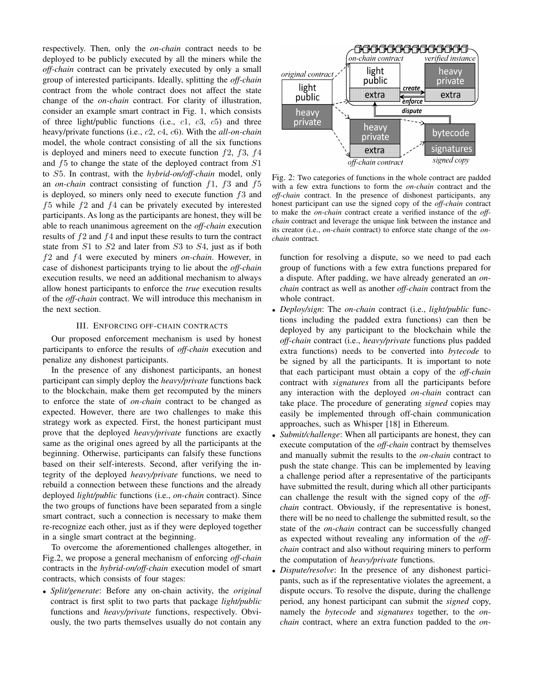respectively. Then, only the *on-chain* contract needs to be deployed to be publicly executed by all the miners while the *off-chain* contract can be privately executed by only a small group of interested participants. Ideally, splitting the *off-chain* contract from the whole contract does not affect the state change of the *on-chain* contract. For clarity of illustration, consider an example smart contract in Fig. 1, which consists of three light/public functions (i.e.,  $c1$ ,  $c3$ ,  $c5$ ) and three heavy/private functions (i.e., c2, c4, c6). With the *all-on-chain* model, the whole contract consisting of all the six functions is deployed and miners need to execute function  $f2$ ,  $f3$ ,  $f4$ and f5 to change the state of the deployed contract from S1 to S5. In contrast, with the *hybrid-on/off-chain* model, only an *on-chain* contract consisting of function f1, f3 and f5 is deployed, so miners only need to execute function  $f_3$  and  $f5$  while  $f2$  and  $f4$  can be privately executed by interested participants. As long as the participants are honest, they will be able to reach unanimous agreement on the *off-chain* execution results of f2 and f4 and input these results to turn the contract state from S1 to S2 and later from S3 to S4, just as if both f2 and f4 were executed by miners *on-chain*. However, in case of dishonest participants trying to lie about the *off-chain* execution results, we need an additional mechanism to always allow honest participants to enforce the *true* execution results of the *off-chain* contract. We will introduce this mechanism in the next section.

## III. ENFORCING OFF-CHAIN CONTRACTS

Our proposed enforcement mechanism is used by honest participants to enforce the results of *off-chain* execution and penalize any dishonest participants.

In the presence of any dishonest participants, an honest participant can simply deploy the *heavy/private* functions back to the blockchain, make them get recomputed by the miners to enforce the state of *on-chain* contract to be changed as expected. However, there are two challenges to make this strategy work as expected. First, the honest participant must prove that the deployed *heavy/private* functions are exactly same as the original ones agreed by all the participants at the beginning. Otherwise, participants can falsify these functions based on their self-interests. Second, after verifying the integrity of the deployed *heavy/private* functions, we need to rebuild a connection between these functions and the already deployed *light/public* functions (i.e., *on-chain* contract). Since the two groups of functions have been separated from a single smart contract, such a connection is necessary to make them re-recognize each other, just as if they were deployed together in a single smart contract at the beginning.

To overcome the aforementioned challenges altogether, in Fig.2, we propose a general mechanism of enforcing *off-chain* contracts in the *hybrid-on/off-chain* execution model of smart contracts, which consists of four stages:

• *Split/generate*: Before any on-chain activity, the *original* contract is first split to two parts that package *light/public* functions and *heavy/private* functions, respectively. Obviously, the two parts themselves usually do not contain any



Fig. 2: Two categories of functions in the whole contract are padded with a few extra functions to form the *on-chain* contract and the *off-chain* contract. In the presence of dishonest participants, any honest participant can use the signed copy of the *off-chain* contract to make the *on-chain* contract create a verified instance of the *offchain* contract and leverage the unique link between the instance and its creator (i.e., *on-chain* contract) to enforce state change of the *onchain* contract.

function for resolving a dispute, so we need to pad each group of functions with a few extra functions prepared for a dispute. After padding, we have already generated an *onchain* contract as well as another *off-chain* contract from the whole contract.

- *Deploy/sign*: The *on-chain* contract (i.e., *light/public* functions including the padded extra functions) can then be deployed by any participant to the blockchain while the *off-chain* contract (i.e., *heavy/private* functions plus padded extra functions) needs to be converted into *bytecode* to be signed by all the participants. It is important to note that each participant must obtain a copy of the *off-chain* contract with *signatures* from all the participants before any interaction with the deployed *on-chain* contract can take place. The procedure of generating *signed* copies may easily be implemented through off-chain communication approaches, such as Whisper [18] in Ethereum.
- *Submit/challenge*: When all participants are honest, they can execute computation of the *off-chain* contract by themselves and manually submit the results to the *on-chain* contract to push the state change. This can be implemented by leaving a challenge period after a representative of the participants have submitted the result, during which all other participants can challenge the result with the signed copy of the *offchain* contract. Obviously, if the representative is honest, there will be no need to challenge the submitted result, so the state of the *on-chain* contract can be successfully changed as expected without revealing any information of the *offchain* contract and also without requiring miners to perform the computation of *heavy/private* functions.
- *Dispute/resolve*: In the presence of any dishonest participants, such as if the representative violates the agreement, a dispute occurs. To resolve the dispute, during the challenge period, any honest participant can submit the *signed* copy, namely the *bytecode* and *signatures* together, to the *onchain* contract, where an extra function padded to the *on-*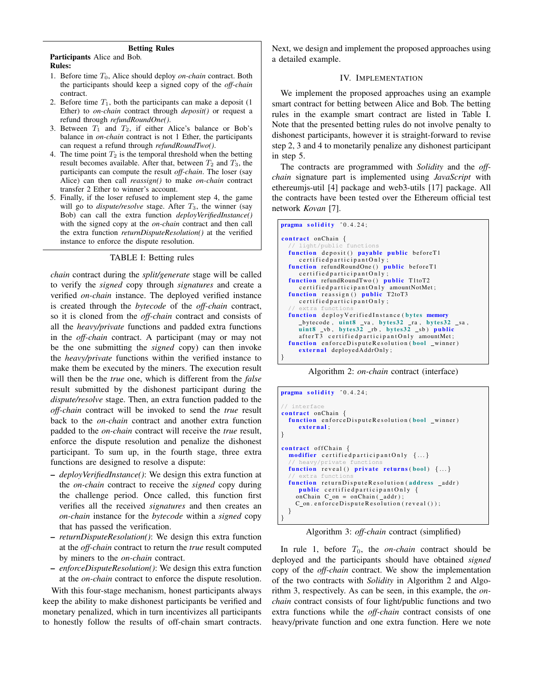### Betting Rules

Participants Alice and Bob. Rules:

- 1. Before time T0, Alice should deploy *on-chain* contract. Both the participants should keep a signed copy of the *off-chain* contract.
- 2. Before time  $T_1$ , both the participants can make a deposit (1) Ether) to *on-chain* contract through *deposit()* or request a refund through *refundRoundOne()*.
- 3. Between  $T_1$  and  $T_2$ , if either Alice's balance or Bob's balance in *on-chain* contract is not 1 Ether, the participants can request a refund through *refundRoundTwo()*.
- 4. The time point  $T_2$  is the temporal threshold when the betting result becomes available. After that, between  $T_2$  and  $T_3$ , the participants can compute the result *off-chain*. The loser (say Alice) can then call *reassign()* to make *on-chain* contract transfer 2 Ether to winner's account.
- 5. Finally, if the loser refused to implement step 4, the game will go to *dispute/resolve* stage. After  $T_3$ , the winner (say Bob) can call the extra function *deployVerifiedInstance()* with the signed copy at the *on-chain* contract and then call the extra function *returnDisputeResolution()* at the verified instance to enforce the dispute resolution.

## TABLE I: Betting rules

*chain* contract during the *split/generate* stage will be called to verify the *signed* copy through *signatures* and create a verified *on-chain* instance. The deployed verified instance is created through the *bytecode* of the *off-chain* contract, so it is cloned from the *off-chain* contract and consists of all the *heavy/private* functions and padded extra functions in the *off-chain* contract. A participant (may or may not be the one submitting the *signed* copy) can then invoke the *heavy/private* functions within the verified instance to make them be executed by the miners. The execution result will then be the *true* one, which is different from the *false* result submitted by the dishonest participant during the *dispute/resolve* stage. Then, an extra function padded to the *off-chain* contract will be invoked to send the *true* result back to the *on-chain* contract and another extra function padded to the *on-chain* contract will receive the *true* result, enforce the dispute resolution and penalize the dishonest participant. To sum up, in the fourth stage, three extra functions are designed to resolve a dispute:

- *deployVerifiedInstance()*: We design this extra function at the *on-chain* contract to receive the *signed* copy during the challenge period. Once called, this function first verifies all the received *signatures* and then creates an *on-chain* instance for the *bytecode* within a *signed* copy that has passed the verification.
- *returnDisputeResolution()*: We design this extra function at the *off-chain* contract to return the *true* result computed by miners to the *on-chain* contract.
- *enforceDisputeResolution()*: We design this extra function at the *on-chain* contract to enforce the dispute resolution.

With this four-stage mechanism, honest participants always keep the ability to make dishonest participants be verified and monetary penalized, which in turn incentivizes all participants to honestly follow the results of off-chain smart contracts. Next, we design and implement the proposed approaches using a detailed example.

## IV. IMPLEMENTATION

We implement the proposed approaches using an example smart contract for betting between Alice and Bob. The betting rules in the example smart contract are listed in Table I. Note that the presented betting rules do not involve penalty to dishonest participants, however it is straight-forward to revise step 2, 3 and 4 to monetarily penalize any dishonest participant in step 5.

The contracts are programmed with *Solidity* and the *offchain* signature part is implemented using *JavaScript* with ethereumjs-util [4] package and web3-utils [17] package. All the contracts have been tested over the Ethereum official test network *Kovan* [7].



Algorithm 2: *on-chain* contract (interface)

```
pragma solidity 0.4.24;
// interface
contract onChain {
  function enforceDisputeResolution (bool winner)
     external:
}
contract offChain {
  modifier certified participant Only \{\ldots\}heavy/private function
  function reveal () private returns (bool) \{\ldots\}extra funct:
  function returnDisputeResolution (address _addr)
     public certified participant Only {
    on Chain C_{0} = on Chain (_{add}r);
    C_on. enforceDisputeResolution (reveal ());
 }
}
```
Algorithm 3: *off-chain* contract (simplified)

In rule 1, before  $T_0$ , the *on-chain* contract should be deployed and the participants should have obtained *signed* copy of the *off-chain* contract. We show the implementation of the two contracts with *Solidity* in Algorithm 2 and Algorithm 3, respectively. As can be seen, in this example, the *onchain* contract consists of four light/public functions and two extra functions while the *off-chain* contract consists of one heavy/private function and one extra function. Here we note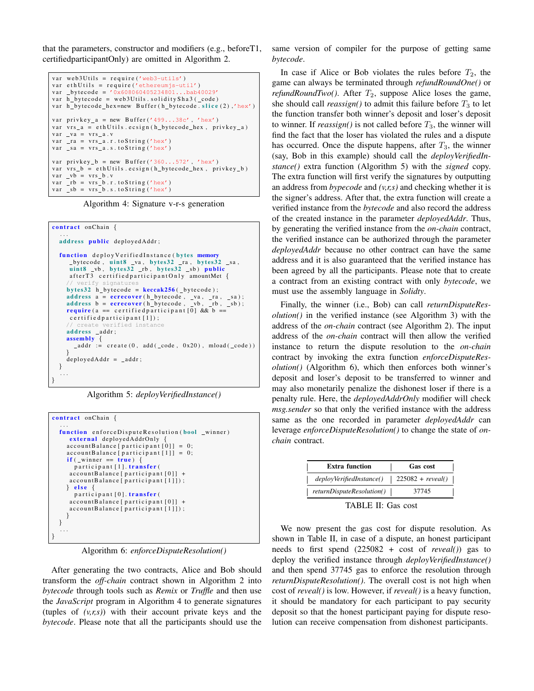that the parameters, constructor and modifiers (e.g., beforeT1, certifiedparticipantOnly) are omitted in Algorithm 2.

```
var web3Utils = require ('web3-utils')
var eth Utils = require ('ethereumjs-util')
var _bytecode = '0x608060405234801...bab40029'
var h_b by tecode = web 3 Utils . so lidity Sha 3 (\text{\_code}var h_bytecode_hex=new Buffer (h_bytecode.slice (2),'hex')
var privkey_a = new Buffer ('499...38c', 'hex')var vrs_a = ethUtils. ecsign(h_bytecode_hex, privkey_a)var_v a = vrs_a.
var -ra = vrs_a.r.toString('hex')var _sa = vrs_a.s.to String ('hex')
var privkey_b = new Buffer ('360...572', 'hex')
var vrs_b = ethUtils.ecsign(h_bytecode_hex, privkey_b)
var_v = v b = v r s_b. v
var _r b = vrs_b.r.toString('hex')
var sb = vrs_b.s. to String ('hex')
```
Algorithm 4: Signature v-r-s generation

```
contract onChain {
   . . .
  address public deployedAddr;
  function deploy Verified Instance (bytes memory
       b yt e c o d e , ui n t 8 va , b y t e s 3 2 ra , b y t e s 3 2 sa ,
ui n t 8 vb , b y t e s 3 2 rb , b y t e s 3 2 s b ) p u bli c
      afterT3 certifiedparticipantOnly amountMet {
      // verify signatures
     by t \cdot s32 h_by t \cdot c \cdot o d e = keccak256 (_by t \cdot c \cdot o d e);
      address a = ecrecover(h_bytecode, _va, _ra, _sa);<br>address b = ecrecover(h_bytecode, _vb, _rb, _sb);
     require (a == certified participant [0] & b ==
      c e r t i f i e d p a r t i c i p a n t [1]);
         create verified instance
     address _addr;
      assembly {
      _1 addr := create (0, add (_code, 0x20), mload (_code))
     \text{depth} = \text{add}r;
  }
   . . .
}
```
Algorithm 5: *deployVerifiedInstance()*

```
contract onChain {
  ...<br><mark>function</mark> enforceDisputeResolution(bool _winner)
     external deployedAddrOnly \{<br>accountBalance [participant [0]] = 0;
    account Balance [partitionant [1]] = 0;if ( _{winner} == true ) {
       participant [1]. transfer (
     accountBalance[partition] +account Balance [participant [1]]);
    \} else {
       participant [0]. transfer (
     accountBalance[partition] +account Balance [ participant [1]]);
    }
  }
   . . .
}
```
Algorithm 6: *enforceDisputeResolution()*

After generating the two contracts, Alice and Bob should transform the *off-chain* contract shown in Algorithm 2 into *bytecode* through tools such as *Remix* or *Truffle* and then use the *JavaScript* program in Algorithm 4 to generate signatures (tuples of *(v,r,s)*) with their account private keys and the *bytecode*. Please note that all the participants should use the same version of compiler for the purpose of getting same *bytecode*.

In case if Alice or Bob violates the rules before  $T_2$ , the game can always be terminated through *refundRoundOne()* or *refundRoundTwo()*. After  $T_2$ , suppose Alice loses the game, she should call *reassign()* to admit this failure before  $T_3$  to let the function transfer both winner's deposit and loser's deposit to winner. If  $reassign()$  is not called before  $T_3$ , the winner will find the fact that the loser has violated the rules and a dispute has occurred. Once the dispute happens, after  $T_3$ , the winner (say, Bob in this example) should call the *deployVerifiedInstance()* extra function (Algorithm 5) with the *signed* copy. The extra function will first verify the signatures by outputting an address from *bypecode* and *(v,r,s)* and checking whether it is the signer's address. After that, the extra function will create a verified instance from the *bytecode* and also record the address of the created instance in the parameter *deployedAddr*. Thus, by generating the verified instance from the *on-chain* contract, the verified instance can be authorized through the parameter *deployedAddr* because no other contract can have the same address and it is also guaranteed that the verified instance has been agreed by all the participants. Please note that to create a contract from an existing contract with only *bytecode*, we must use the assembly language in *Solidty*.

Finally, the winner (i.e., Bob) can call *returnDisputeResolution()* in the verified instance (see Algorithm 3) with the address of the *on-chain* contract (see Algorithm 2). The input address of the *on-chain* contract will then allow the verified instance to return the dispute resolution to the *on-chain* contract by invoking the extra function *enforceDisputeResolution()* (Algorithm 6), which then enforces both winner's deposit and loser's deposit to be transferred to winner and may also monetarily penalize the dishonest loser if there is a penalty rule. Here, the *deployedAddrOnly* modifier will check *msg.sender* so that only the verified instance with the address same as the one recorded in parameter *deployedAddr* can leverage *enforceDisputeResolution()* to change the state of *onchain* contract.

| <b>Extra function</b>     | Gas cost            |
|---------------------------|---------------------|
| deployVerifiedInstance()  | $225082 + reveal()$ |
| returnDisputeResolution() | 37745               |

TABLE II: Gas cost

We now present the gas cost for dispute resolution. As shown in Table II, in case of a dispute, an honest participant needs to first spend (225082 + cost of *reveal()*) gas to deploy the verified instance through *deployVerifiedInstance()* and then spend 37745 gas to enforce the resolution through *returnDisputeResolution()*. The overall cost is not high when cost of *reveal()* is low. However, if *reveal()* is a heavy function, it should be mandatory for each participant to pay security deposit so that the honest participant paying for dispute resolution can receive compensation from dishonest participants.